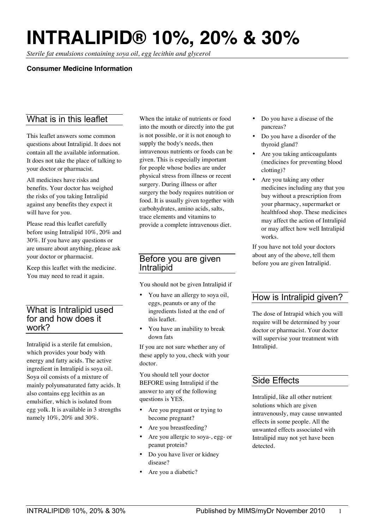# **INTRALIPID® 10%, 20% & 30%**

*Sterile fat emulsions containing soya oil, egg lecithin and glycerol*

## **Consumer Medicine Information**

# What is in this leaflet

This leaflet answers some common questions about Intralipid. It does not contain all the available information. It does not take the place of talking to your doctor or pharmacist.

All medicines have risks and benefits. Your doctor has weighed the risks of you taking Intralipid against any benefits they expect it will have for you.

Please read this leaflet carefully before using Intralipid 10%, 20% and 30%. If you have any questions or are unsure about anything, please ask your doctor or pharmacist.

Keep this leaflet with the medicine. You may need to read it again.

## What is Intralipid used for and how does it work?

Intralipid is a sterile fat emulsion, which provides your body with energy and fatty acids. The active ingredient in Intralipid is soya oil. Soya oil consists of a mixture of mainly polyunsaturated fatty acids. It also contains egg lecithin as an emulsifier, which is isolated from egg yolk. It is available in 3 strengths namely 10%, 20% and 30%.

When the intake of nutrients or food into the mouth or directly into the gut is not possible, or it is not enough to supply the body's needs, then intravenous nutrients or foods can be given. This is especially important for people whose bodies are under physical stress from illness or recent surgery. During illness or after surgery the body requires nutrition or food. It is usually given together with carbohydrates, amino acids, salts, trace elements and vitamins to provide a complete intravenous diet.

## Before you are given Intralipid

You should not be given Intralipid if

- You have an allergy to soya oil, eggs, peanuts or any of the ingredients listed at the end of this leaflet.
- You have an inability to break down fats

If you are not sure whether any of these apply to you, check with your doctor.

You should tell your doctor BEFORE using Intralipid if the answer to any of the following questions is YES.

- Are you pregnant or trying to become pregnant?
- Are you breastfeeding?
- Are you allergic to soya-, egg- or peanut protein?
- Do you have liver or kidney disease?
- Are you a diabetic?
- Do you have a disease of the pancreas?
- Do you have a disorder of the thyroid gland?
- Are you taking anticoagulants (medicines for preventing blood clotting)?
- Are you taking any other medicines including any that you buy without a prescription from your pharmacy, supermarket or healthfood shop. These medicines may affect the action of Intralipid or may affect how well Intralipid works.

If you have not told your doctors about any of the above, tell them before you are given Intralipid.

# How is Intralipid given?

The dose of Intrapid which you will require will be determined by your doctor or pharmacist. Your doctor will supervise your treatment with Intralipid.

# Side Effects

Intralipid, like all other nutrient solutions which are given intravenously, may cause unwanted effects in some people. All the unwanted effects associated with Intralipid may not yet have been detected.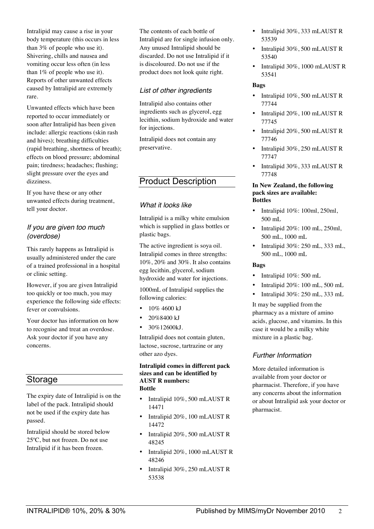Intralipid may cause a rise in your body temperature (this occurs in less than 3% of people who use it). Shivering, chills and nausea and vomiting occur less often (in less than 1% of people who use it). Reports of other unwanted effects caused by Intralipid are extremely rare.

Unwanted effects which have been reported to occur immediately or soon after Intralipid has been given include: allergic reactions (skin rash and hives); breathing difficulties (rapid breathing, shortness of breath); effects on blood pressure; abdominal pain; tiredness; headaches; flushing; slight pressure over the eyes and dizziness.

If you have these or any other unwanted effects during treatment, tell your doctor.

## *If you are given too much (overdose)*

This rarely happens as Intralipid is usually administered under the care of a trained professional in a hospital or clinic setting.

However, if you are given Intralipid too quickly or too much, you may experience the following side effects: fever or convulsions.

Your doctor has information on how to recognise and treat an overdose. Ask your doctor if you have any concerns.

# Storage

The expiry date of Intralipid is on the label of the pack. Intralipid should not be used if the expiry date has passed.

Intralipid should be stored below 25ºC, but not frozen. Do not use Intralipid if it has been frozen.

The contents of each bottle of Intralipid are for single infusion only. Any unused Intralipid should be discarded. Do not use Intralipid if it is discoloured. Do not use if the product does not look quite right.

## *List of other ingredients*

Intralipid also contains other ingredients such as glycerol, egg lecithin, sodium hydroxide and water for injections.

Intralipid does not contain any preservative.

# Product Description

## *What it looks like*

Intralipid is a milky white emulsion which is supplied in glass bottles or plastic bags.

The active ingredient is soya oil. Intralipid comes in three strengths: 10%, 20% and 30%. It also contains egg lecithin, glycerol, sodium hydroxide and water for injections.

1000mL of Intralipid supplies the following calories:

- 10% 4600 kJ
- 20%8400 kJ
- $30\%12600kJ$ .

Intralipid does not contain gluten, lactose, sucrose, tartrazine or any other azo dyes.

#### **Intralipid comes in different pack sizes and can be identified by AUST R numbers: Bottle**

- Intralipid 10%, 500 mLAUST R 14471
- Intralipid 20%, 100 mLAUST R 14472
- Intralipid 20%, 500 mLAUST R 48245
- Intralipid 20%, 1000 mLAUST R 48246
- Intralipid 30%, 250 mLAUST R 53538
- Intralipid 30%, 333 mLAUST R 53539
- Intralipid 30%, 500 mLAUST R 53540
- Intralipid 30%, 1000 mLAUST R 53541

#### **Bags**

- Intralipid 10%, 500 mLAUST R 77744
- Intralipid 20%, 100 mLAUST R 77745
- Intralipid 20%, 500 mLAUST R 77746
- Intralipid 30%, 250 mLAUST R 77747
- Intralipid 30%, 333 mLAUST R 77748

#### **In New Zealand, the following pack sizes are available: Bottles**

- Intralipid 10%: 100ml, 250ml, 500 mL
- Intralipid 20%: 100 mL, 250ml, 500 mL, 1000 mL
- Intralipid 30%: 250 mL, 333 mL, 500 mL, 1000 mL

### **Bags**

- Intralipid 10%: 500 mL
- Intralipid 20%: 100 mL, 500 mL
- Intralipid 30%: 250 mL, 333 mL

It may be supplied from the pharmacy as a mixture of amino acids, glucose, and vitamins. In this case it would be a milky white mixture in a plastic bag.

### *Further Information*

More detailed information is available from your doctor or pharmacist. Therefore, if you have any concerns about the information or about Intralipid ask your doctor or pharmacist.